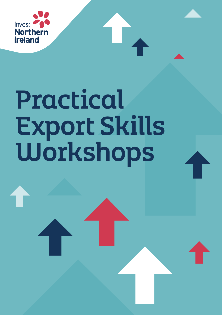

# Practical Export Skills Workshops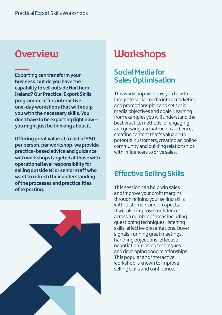# Overview

**Exporting can transform your business, but do you have the capability to sell outside Northern Ireland? Our Practical Export Skills programme offers interactive, one-day workshops that will equip you with the necessary skills. You don't have to be exporting right now – you might just be thinking about it.** 

**Offering great value at a cost of £50 per person, per workshop, we provide practice-based advice and guidance with workshops targeted at those with operational level responsibility for selling outside NI or senior staff who want to refresh their understanding of the processes and practicalities of exporting.**



# **Workshops**

## **Social Media for Sales Optimisation**

This workshop will show you how to integrate social media into a marketing and promotions plan and set social media objectives and goals. Learning from examples you will understand the best practice methods for engaging and growing a social media audience, creating content that's valuable to potential customers, creating an online community and building relationships with influencers to drive sales.

# **Effective Selling Skills**

This session can help win sales and improve your profit margins through refining your selling skills with customers and prospects. It will also improve confidence across a number of areas including questioning techniques, listening skills, effective presentations, buyer signals, running great meetings, handling objections, effective negotiation, closing techniques and developing good relationships. This popular and interactive workshop is known to improve selling skills and confidence.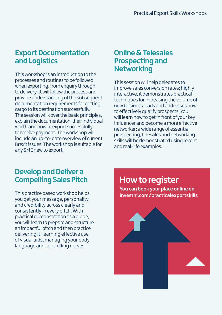## **Export Documentation and Logistics**

This workshop is an introduction to the processes and routines to be followed when exporting, from enquiry through to delivery. It will follow the process and provide understanding of the subsequent documentation requirements for getting cargo to its destination successfully. The session will cover the basic principles, explain the documentation, their individual worth and how to export successfully to receive payment. The workshop will include an up-to-date overview of current Brexit issues. The workshop is suitable for any SME new to export.

### **Online & Telesales Prospecting and Networking**

This session will help delegates to improve sales conversion rates; highly interactive, it demonstrates practical techniques for increasing the volume of new business leads and addresses how to effectively qualify prospects. You will learn how to get in front of your key influencer and become a more effective networker; a wide range of essential prospecting, telesales and networking skills will be demonstrated using recent and real-life examples.

## **Develop and Deliver a Compelling Sales Pitch**

This practice based workshop helps you get your message, personality and credibility across clearly and consistently in every pitch. With practical demonstration as a guide, you will learn to prepare and structure an impactful pitch and then practice delivering it, learning effective use of visual aids, managing your body language and controlling nerves.

**How to register** 

**You can book your place online on [investni.com/practicalexportskills](https://www.investni.com/support-for-business/practical-export-skills)**